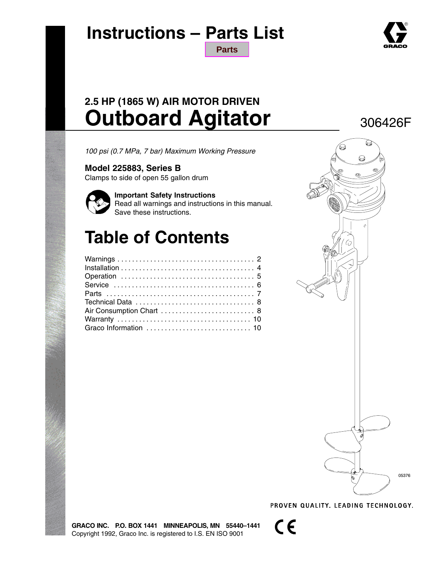

### **Instructions – Parts List [Parts](#page-6-0)**

### **2.5 HP (1865 W) AIR MOTOR DRIVEN Outboard Agitator**

*100 psi (0.7 MPa, 7 bar) Maximum Working Pressure*

### **Model 225883, Series B**

Clamps to side of open 55 gallon drum



**Important Safety Instructions** Read all warnings and instructions in this manual.

Save these instructions.

## **Table of Contents**



PROVEN QUALITY. LEADING TECHNOLOGY.

**GRACO INC. P.O. BOX 1441 MINNEAPOLIS, MN 55440–1441** Copyright 1992, Graco Inc. is registered to I.S. EN ISO 9001

 $\epsilon$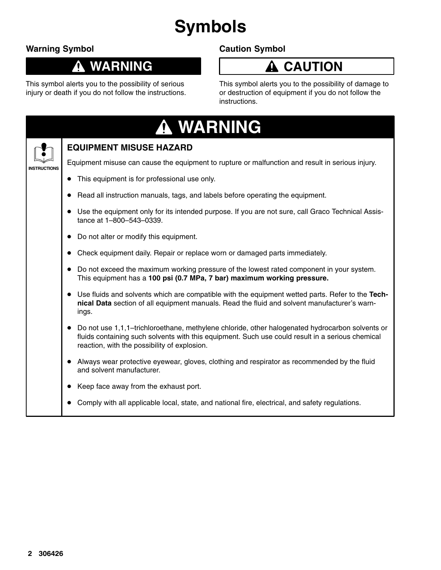# **Symbols**

### **Warning Symbol**

#### **WARNING** 0

his symbol alerts you to the possibility of serious injury or death if you do not follow the instructions.

### **Caution Symbol**



This symbol alerts you to the possibility of damage to or destruction of equipment if you do not follow the instructions.

| <b>A WARNING</b>                                                                                                                                                                                                                                    |
|-----------------------------------------------------------------------------------------------------------------------------------------------------------------------------------------------------------------------------------------------------|
| <b>EQUIPMENT MISUSE HAZARD</b>                                                                                                                                                                                                                      |
| Equipment misuse can cause the equipment to rupture or malfunction and result in serious injury.                                                                                                                                                    |
| This equipment is for professional use only.                                                                                                                                                                                                        |
| Read all instruction manuals, tags, and labels before operating the equipment.                                                                                                                                                                      |
| Use the equipment only for its intended purpose. If you are not sure, call Graco Technical Assis-<br>tance at 1-800-543-0339.                                                                                                                       |
| Do not alter or modify this equipment.                                                                                                                                                                                                              |
| Check equipment daily. Repair or replace worn or damaged parts immediately.                                                                                                                                                                         |
| Do not exceed the maximum working pressure of the lowest rated component in your system.<br>This equipment has a 100 psi (0.7 MPa, 7 bar) maximum working pressure.                                                                                 |
| Use fluids and solvents which are compatible with the equipment wetted parts. Refer to the Tech-<br>nical Data section of all equipment manuals. Read the fluid and solvent manufacturer's warn-<br>ings.                                           |
| Do not use 1,1,1-trichloroethane, methylene chloride, other halogenated hydrocarbon solvents or<br>fluids containing such solvents with this equipment. Such use could result in a serious chemical<br>reaction, with the possibility of explosion. |
| Always wear protective eyewear, gloves, clothing and respirator as recommended by the fluid<br>and solvent manufacturer.                                                                                                                            |
| Keep face away from the exhaust port.                                                                                                                                                                                                               |
| Comply with all applicable local, state, and national fire, electrical, and safety regulations.                                                                                                                                                     |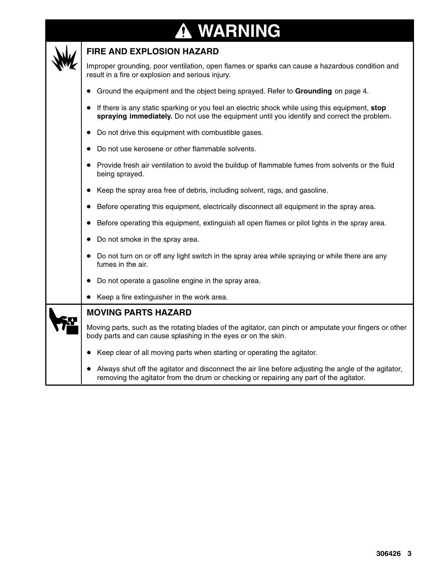#### **WARNING** $\mathbf \Phi$



#### **FIRE AND EXPLOSION HAZARD**

Improper grounding, poor ventilation, open flames or sparks can cause a hazardous condition and result in a fire or explosion and serious injury.

- Ground the equipment and the object being sprayed. Refer to **Grounding** on page 4.
- If there is any static sparking or you feel an electric shock while using this equipment, **stop spraying immediately.** Do not use the equipment until you identify and correct the problem.
- Do not drive this equipment with combustible gases.
- Do not use kerosene or other flammable solvents.
- Provide fresh air ventilation to avoid the buildup of flammable fumes from solvents or the fluid being sprayed.
- Keep the spray area free of debris, including solvent, rags, and gasoline.
- Before operating this equipment, electrically disconnect all equipment in the spray area.
- Before operating this equipment, extinguish all open flames or pilot lights in the spray area.
- Do not smoke in the spray area.
- Do not turn on or off any light switch in the spray area while spraying or while there are any fumes in the air.
- Do not operate a gasoline engine in the spray area.
- Keep a fire extinguisher in the work area.

#### **MOVING PARTS HAZARD**

Moving parts, such as the rotating blades of the agitator, can pinch or amputate your fingers or other body parts and can cause splashing in the eyes or on the skin.

- Keep clear of all moving parts when starting or operating the agitator.
- Always shut off the agitator and disconnect the air line before adjusting the angle of the agitator, removing the agitator from the drum or checking or repairing any part of the agitator.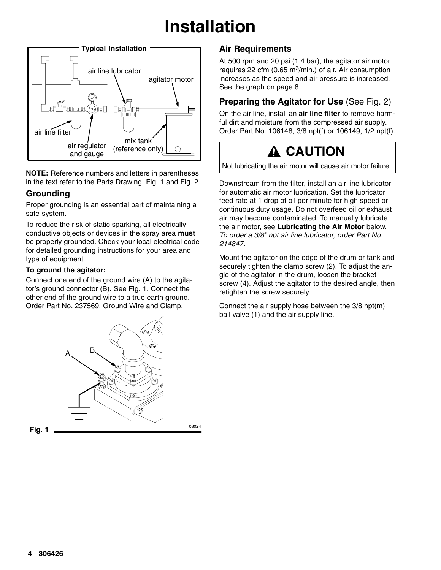# **Installation**



**NOTE:** Reference numbers and letters in parentheses in the text refer to the Parts Drawing, Fig. 1 and Fig. 2.

#### **Grounding**

Proper grounding is an essential part of maintaining a safe system.

To reduce the risk of static sparking, all electrically conductive objects or devices in the spray area **must** be properly grounded. Check your local electrical code for detailed grounding instructions for your area and type of equipment.

#### **To ground the agitator:**

Connect one end of the ground wire (A) to the agitator's ground connector (B). See Fig. 1. Connect the other end of the ground wire to a true earth ground. Order Part No. 237569, Ground Wire and Clamp.



#### **Air Requirements**

At 500 rpm and 20 psi (1.4 bar), the agitator air motor requires 22 cfm (0.65 m<sup>3</sup>/min.) of air. Air consumption increases as the speed and air pressure is increased. See the graph on page 8.

### **Preparing the Agitator for Use** (See Fig. 2)

On the air line, install an **air line filter** to remove harmful dirt and moisture from the compressed air supply. Order Part No. 106148, 3/8 npt(f) or 106149, 1/2 npt(f).



Not lubricating the air motor will cause air motor failure.

Downstream from the filter, install an air line lubricator for automatic air motor lubrication. Set the lubricator feed rate at 1 drop of oil per minute for high speed or continuous duty usage. Do not overfeed oil or exhaust air may become contaminated. To manually lubricate the air motor, see **Lubricating the Air Motor** below. *To order a 3/8" npt air line lubricator, order Part No. 214847.*

Mount the agitator on the edge of the drum or tank and securely tighten the clamp screw (2). To adjust the angle of the agitator in the drum, loosen the bracket screw (4). Adjust the agitator to the desired angle, then retighten the screw securely.

Connect the air supply hose between the 3/8 npt(m) ball valve (1) and the air supply line.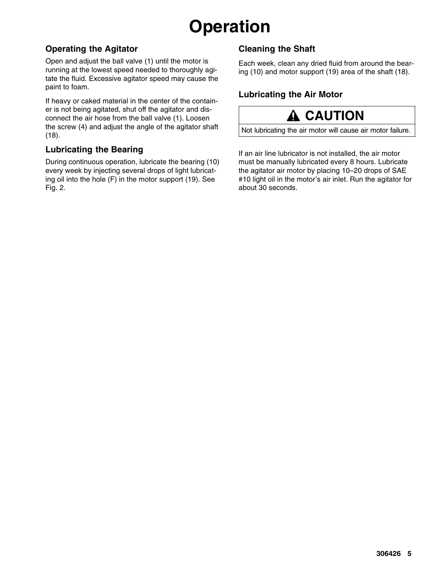# **Operation**

#### **Operating the Agitator**

Open and adjust the ball valve (1) until the motor is running at the lowest speed needed to thoroughly agitate the fluid. Excessive agitator speed may cause the paint to foam.

If heavy or caked material in the center of the container is not being agitated, shut off the agitator and disconnect the air hose from the ball valve (1). Loosen the screw (4) and adjust the angle of the agitator shaft (18).

#### **Lubricating the Bearing**

During continuous operation, lubricate the bearing (10) every week by injecting several drops of light lubricating oil into the hole (F) in the motor support (19). See Fig. 2.

### **Cleaning the Shaft**

Each week, clean any dried fluid from around the bearing (10) and motor support (19) area of the shaft (18).

### **Lubricating the Air Motor**



Not lubricating the air motor will cause air motor failure.

If an air line lubricator is not installed, the air motor must be manually lubricated every 8 hours. Lubricate the agitator air motor by placing 10–20 drops of SAE #10 light oil in the motor's air inlet. Run the agitator for about 30 seconds.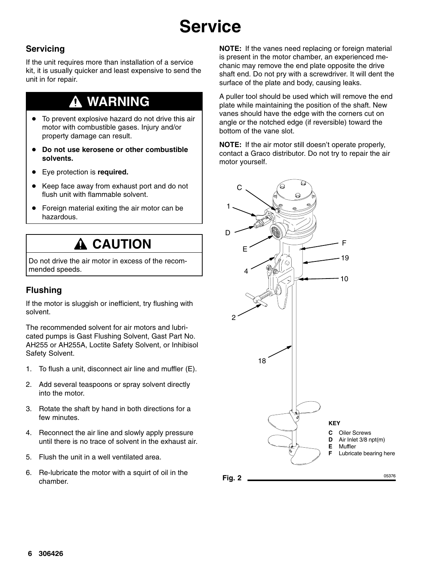# **Service**

### **Servicing**

If the unit requires more than installation of a service kit, it is usually quicker and least expensive to send the unit in for repair.

### **WARNING**

- To prevent explosive hazard do not drive this air motor with combustible gases. Injury and/or property damage can result.
- **Do not use kerosene or other combustible solvents.**
- Eye protection is **required.**
- Keep face away from exhaust port and do not flush unit with flammable solvent.
- Foreign material exiting the air motor can be hazardous.

### **A** CAUTION

Do not drive the air motor in excess of the recommended speeds.

#### **Flushing**

If the motor is sluggish or inefficient, try flushing with solvent.

The recommended solvent for air motors and lubricated pumps is Gast Flushing Solvent, Gast Part No. AH255 or AH255A, Loctite Safety Solvent, or Inhibisol Safety Solvent.

- 1. To flush a unit, disconnect air line and muffler (E).
- 2. Add several teaspoons or spray solvent directly into the motor.
- 3. Rotate the shaft by hand in both directions for a few minutes.
- 4. Reconnect the air line and slowly apply pressure until there is no trace of solvent in the exhaust air.
- 5. Flush the unit in a well ventilated area.
- 6. Re-lubricate the motor with a squirt of oil in the chamber.

**NOTE:** If the vanes need replacing or foreign material is present in the motor chamber, an experienced mechanic may remove the end plate opposite the drive shaft end. Do not pry with a screwdriver. It will dent the surface of the plate and body, causing leaks.

A puller tool should be used which will remove the end plate while maintaining the position of the shaft. New vanes should have the edge with the corners cut on angle or the notched edge (if reversible) toward the bottom of the vane slot.

**NOTE:** If the air motor still doesn't operate properly, contact a Graco distributor. Do not try to repair the air motor yourself.

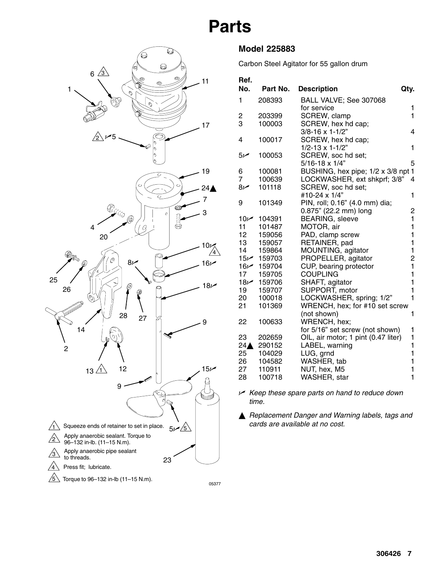## **Parts**

<span id="page-6-0"></span>

#### **Model 225883**

Carbon Steel Agitator for 55 gallon drum

| Ref.                    |                           |                                      |        |
|-------------------------|---------------------------|--------------------------------------|--------|
| No.                     | Part No.                  | <b>Description</b>                   | Qty.   |
| 1                       | 208393                    | BALL VALVE; See 307068               |        |
|                         |                           | for service                          | 1      |
| $\overline{\mathbf{c}}$ | 203399                    | SCREW, clamp                         | 1      |
| 3                       | 100003                    | SCREW, hex hd cap;                   |        |
|                         |                           | $3/8 - 16 \times 1 - 1/2$ "          | 4      |
| 4                       | 100017                    | SCREW, hex hd cap;                   |        |
|                         |                           | $1/2 - 13 \times 1 - 1/2$ "          | 1      |
| سمر5                    | 100053                    | SCREW, soc hd set;                   |        |
|                         |                           | $5/16 - 18 \times 1/4$ "             | 5      |
| 6                       | 100081                    | BUSHING, hex pipe; 1/2 x 3/8 npt 1   |        |
| 7                       | 100639                    | LOCKWASHER, ext shkprf; 3/8"         | 4      |
| $8\nu$                  | 101118                    | SCREW, soc hd set;                   |        |
|                         |                           | #10-24 x 1/4"                        | 1      |
| 9                       | 101349                    | PIN, roll; 0.16" (4.0 mm) dia;       |        |
|                         |                           | 0.875" (22.2 mm) long                | 2<br>1 |
| 11                      | 10 $\nu$ 104391<br>101487 | <b>BEARING, sleeve</b><br>MOTOR, air | 1      |
| 12 <sup>12</sup>        | 159056                    | PAD, clamp screw                     | 1      |
| 13                      | 159057                    | RETAINER, pad                        | 1      |
| 14                      | 159864                    | MOUNTING, agitator                   | 1      |
| 15 $\nu$                | 159703                    | PROPELLER, agitator                  | 2      |
| $16\nu$                 | 159704                    | CUP, bearing protector               | 1      |
| 17                      | 159705                    | <b>COUPLING</b>                      | 1      |
| $18\nu$                 | 159706                    | SHAFT, agitator                      | 1      |
| 19                      | 159707                    | SUPPORT, motor                       | 1      |
| 20                      | 100018                    | LOCKWASHER, spring; 1/2"             | 1      |
| 21                      | 101369                    | WRENCH, hex; for #10 set screw       |        |
|                         |                           | (not shown)                          | 1      |
| 22                      | 100633                    | WRENCH, hex;                         |        |
|                         |                           | for 5/16" set screw (not shown)      | 1      |
| 23                      | 202659                    | OIL, air motor; 1 pint (0.47 liter)  | 1      |
| $24\triangle$           | 290152                    | LABEL, warning                       | 1      |
| 25                      | 104029                    | LUG, grnd                            | 1      |
| 26                      | 104582                    | WASHER, tab                          | 1      |
| 27                      | 110911                    | NUT, hex, M5                         | 1      |
| 28                      | 100718                    | WASHER, star                         | 1      |

- *Keep these spare parts on hand to reduce down time.*

 *Replacement Danger and Warning labels, tags and cards are available at no cost.*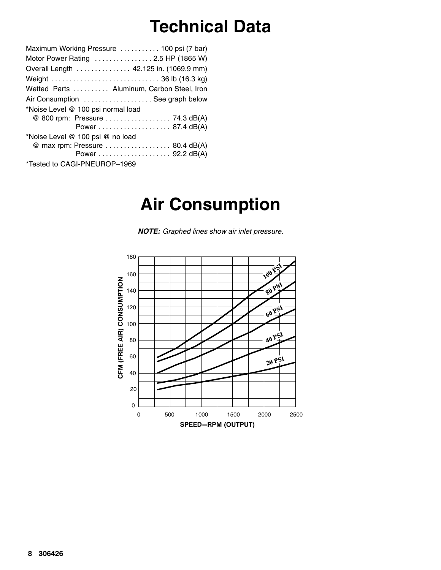## **Technical Data**

|                                    | Maximum Working Pressure  100 psi (7 bar) |
|------------------------------------|-------------------------------------------|
|                                    | Motor Power Rating  2.5 HP (1865 W)       |
|                                    | Overall Length 42.125 in. (1069.9 mm)     |
|                                    |                                           |
|                                    | Wetted Parts Aluminum, Carbon Steel, Iron |
|                                    | Air Consumption  See graph below          |
| *Noise Level @ 100 psi normal load |                                           |
|                                    | @ 800 rpm: Pressure 74.3 dB(A)            |
|                                    |                                           |
| *Noise Level @ 100 psi @ no load   |                                           |
|                                    | @ max rpm: Pressure  80.4 dB(A)           |
|                                    |                                           |
| *Tested to CAGI-PNEUROP-1969       |                                           |

### **Air Consumption**

*NOTE: Graphed lines show air inlet pressure.*

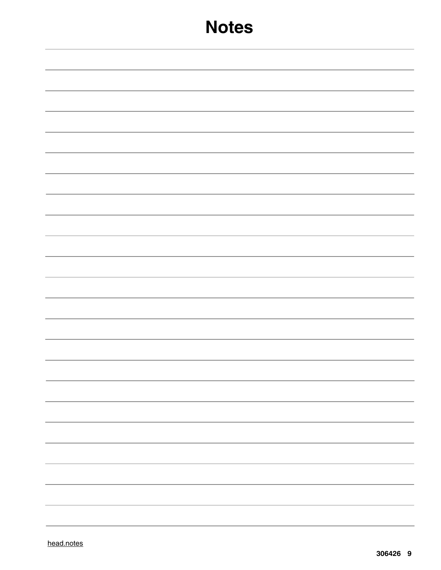### **Notes**

|  | $\overline{\phantom{0}}$ |
|--|--------------------------|
|  |                          |
|  |                          |
|  |                          |
|  |                          |
|  | $\overline{\phantom{0}}$ |
|  |                          |
|  |                          |
|  |                          |
|  |                          |
|  |                          |
|  |                          |
|  |                          |
|  |                          |
|  |                          |
|  |                          |
|  |                          |
|  |                          |
|  |                          |
|  |                          |